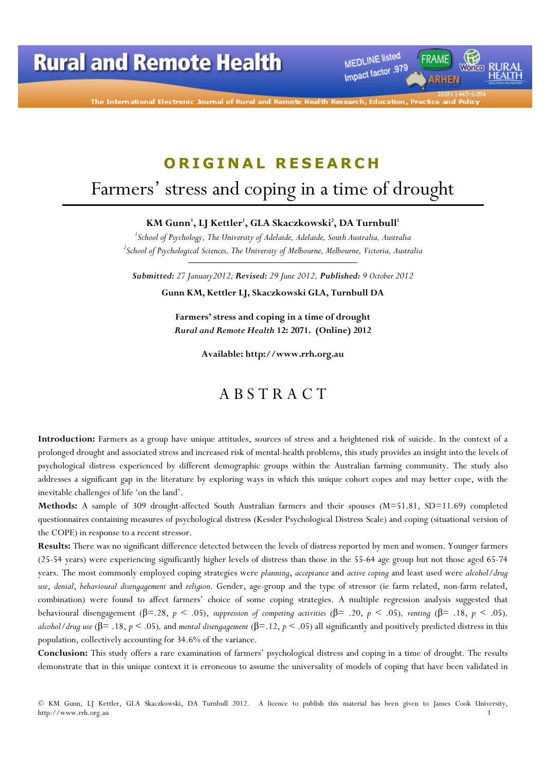MEDLINE listed Impact factor .979

The International Electronic Journal of Rural and Remot

# ORIGINAL RESEARCH

# Farmers' stress and coping in a time of drought

KM Gunn<sup>1</sup>, LJ Kettler<sup>1</sup>, GLA Skaczkowski<sup>2</sup>, DA Turnbull<sup>1</sup>

<sup>1</sup> School of Psychology, The University of Adelaide, Adelaide, South Australia, Australia  $^2$ School of Psychological Sciences, The University of Melbourne, Melbourne, Victoria, Australia

Submitted: 27 January2012; Revised: 29 June 2012, Published: 9 October 2012

Gunn KM, Kettler LJ, Skaczkowski GLA, Turnbull DA

Farmers' stress and coping in a time of drought Rural and Remote Health 12: 2071. (Online) 2012

Available: http://www.rrh.org.au

# A B S T R A C T

Introduction: Farmers as a group have unique attitudes, sources of stress and a heightened risk of suicide. In the context of a prolonged drought and associated stress and increased risk of mental-health problems, this study provides an insight into the levels of psychological distress experienced by different demographic groups within the Australian farming community. The study also addresses a significant gap in the literature by exploring ways in which this unique cohort copes and may better cope, with the inevitable challenges of life 'on the land'.

Methods: A sample of 309 drought-affected South Australian farmers and their spouses (M=51.81, SD=11.69) completed questionnaires containing measures of psychological distress (Kessler Psychological Distress Scale) and coping (situational version of the COPE) in response to a recent stressor.

Results: There was no significant difference detected between the levels of distress reported by men and women. Younger farmers (25-54 years) were experiencing significantly higher levels of distress than those in the 55-64 age group but not those aged 65-74 years. The most commonly employed coping strategies were planning, acceptance and active coping and least used were alcohol/drug use, denial, behavioural disengagement and religion. Gender, age-group and the type of stressor (ie farm related, non-farm related, combination) were found to affect farmers' choice of some coping strategies. A multiple regression analysis suggested that behavioural disengagement ( $\beta = .28$ ,  $p < .05$ ), suppression of competing activities ( $\beta = .20$ ,  $p < .05$ ), venting ( $\beta = .18$ ,  $p < .05$ ), alcohol/drug use ( $\beta$ = .18, p < .05), and mental disengagement ( $\beta$ =.12, p < .05) all significantly and positively predicted distress in this population, collectively accounting for 34.6% of the variance.

Conclusion: This study offers a rare examination of farmers' psychological distress and coping in a time of drought. The results demonstrate that in this unique context it is erroneous to assume the universality of models of coping that have been validated in

<sup>©</sup> KM Gunn, LJ Kettler, GLA Skaczkowski, DA Turnbull 2012. A licence to publish this material has been given to James Cook University, http://www.rrh.org.au 1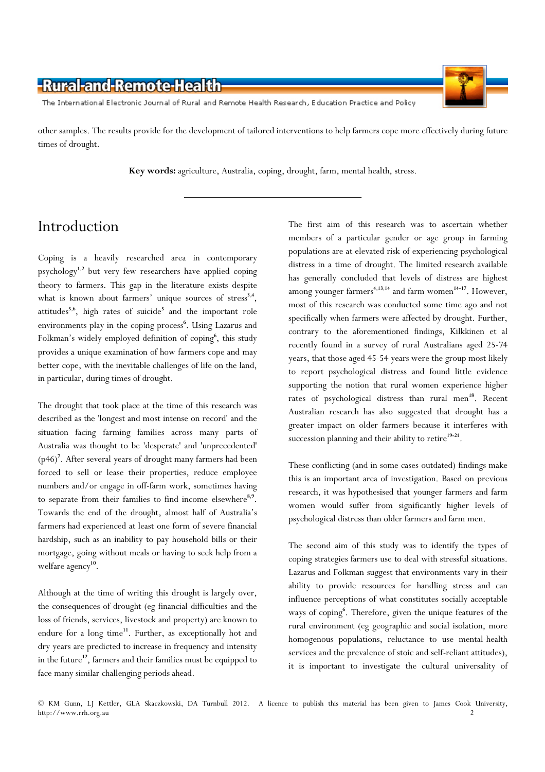The International Electronic Journal of Rural and Remote Health Research, Education Practice and Policy

other samples. The results provide for the development of tailored interventions to help farmers cope more effectively during future times of drought.

Key words: agriculture, Australia, coping, drought, farm, mental health, stress.

# Introduction

Coping is a heavily researched area in contemporary psychology<sup>1,2</sup> but very few researchers have applied coping theory to farmers. This gap in the literature exists despite what is known about farmers' unique sources of stress<sup>3,4</sup>, attitudes<sup>5,6</sup>, high rates of suicide<sup>5</sup> and the important role environments play in the coping process<sup>6</sup>. Using Lazarus and Folkman's widely employed definition of coping<sup>6</sup>, this study provides a unique examination of how farmers cope and may better cope, with the inevitable challenges of life on the land, in particular, during times of drought.

The drought that took place at the time of this research was described as the 'longest and most intense on record' and the situation facing farming families across many parts of Australia was thought to be 'desperate' and 'unprecedented' (p46)<sup>7</sup>. After several years of drought many farmers had been forced to sell or lease their properties, reduce employee numbers and/or engage in off-farm work, sometimes having to separate from their families to find income elsewhere<sup>8,9</sup>. Towards the end of the drought, almost half of Australia's farmers had experienced at least one form of severe financial hardship, such as an inability to pay household bills or their mortgage, going without meals or having to seek help from a welfare agency<sup>10</sup>.

Although at the time of writing this drought is largely over, the consequences of drought (eg financial difficulties and the loss of friends, services, livestock and property) are known to endure for a long time<sup>11</sup>. Further, as exceptionally hot and dry years are predicted to increase in frequency and intensity in the future<sup>12</sup>, farmers and their families must be equipped to face many similar challenging periods ahead.

The first aim of this research was to ascertain whether members of a particular gender or age group in farming populations are at elevated risk of experiencing psychological distress in a time of drought. The limited research available has generally concluded that levels of distress are highest among younger farmers<sup>4,13,14</sup> and farm women<sup>14-17</sup>. However, most of this research was conducted some time ago and not specifically when farmers were affected by drought. Further, contrary to the aforementioned findings, Kilkkinen et al recently found in a survey of rural Australians aged 25-74 years, that those aged 45-54 years were the group most likely to report psychological distress and found little evidence supporting the notion that rural women experience higher rates of psychological distress than rural men<sup>18</sup>. Recent Australian research has also suggested that drought has a greater impact on older farmers because it interferes with succession planning and their ability to retire<sup>19-21</sup>.

These conflicting (and in some cases outdated) findings make this is an important area of investigation. Based on previous research, it was hypothesised that younger farmers and farm women would suffer from significantly higher levels of psychological distress than older farmers and farm men.

The second aim of this study was to identify the types of coping strategies farmers use to deal with stressful situations. Lazarus and Folkman suggest that environments vary in their ability to provide resources for handling stress and can influence perceptions of what constitutes socially acceptable ways of coping<sup>6</sup>. Therefore, given the unique features of the rural environment (eg geographic and social isolation, more homogenous populations, reluctance to use mental-health services and the prevalence of stoic and self-reliant attitudes), it is important to investigate the cultural universality of

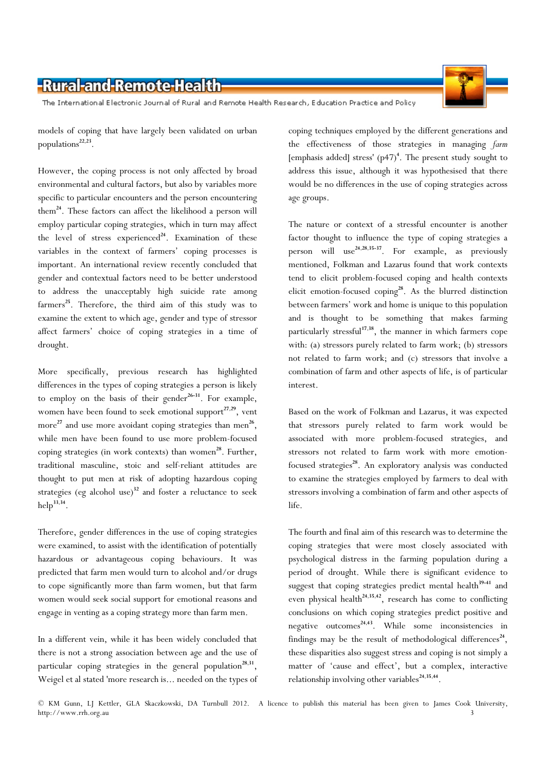The International Electronic Journal of Rural and Remote Health Research, Education Practice and Policy

models of coping that have largely been validated on urban populations<sup>22,23</sup>.

However, the coping process is not only affected by broad environmental and cultural factors, but also by variables more specific to particular encounters and the person encountering them<sup>24</sup>. These factors can affect the likelihood a person will employ particular coping strategies, which in turn may affect the level of stress experienced<sup>24</sup>. Examination of these variables in the context of farmers' coping processes is important. An international review recently concluded that gender and contextual factors need to be better understood to address the unacceptably high suicide rate among farmers<sup>25</sup>. Therefore, the third aim of this study was to examine the extent to which age, gender and type of stressor affect farmers' choice of coping strategies in a time of drought.

More specifically, previous research has highlighted differences in the types of coping strategies a person is likely to employ on the basis of their gender $26-31$ . For example, women have been found to seek emotional support $27.29$ , vent more<sup>27</sup> and use more avoidant coping strategies than men<sup>26</sup>, while men have been found to use more problem-focused coping strategies (in work contexts) than women<sup>28</sup>. Further, traditional masculine, stoic and self-reliant attitudes are thought to put men at risk of adopting hazardous coping strategies (eg alcohol use) $32$  and foster a reluctance to seek help<sup>33,34</sup>.

Therefore, gender differences in the use of coping strategies were examined, to assist with the identification of potentially hazardous or advantageous coping behaviours. It was predicted that farm men would turn to alcohol and/or drugs to cope significantly more than farm women, but that farm women would seek social support for emotional reasons and engage in venting as a coping strategy more than farm men.

In a different vein, while it has been widely concluded that there is not a strong association between age and the use of particular coping strategies in the general population<sup>28,31</sup>, Weigel et al stated 'more research is... needed on the types of coping techniques employed by the different generations and the effectiveness of those strategies in managing farm [emphasis added] stress' (p47)<sup>4</sup>. The present study sought to address this issue, although it was hypothesised that there would be no differences in the use of coping strategies across age groups.

The nature or context of a stressful encounter is another factor thought to influence the type of coping strategies a person will use<sup>24,28,35-37</sup>. For example, as previously mentioned, Folkman and Lazarus found that work contexts tend to elicit problem-focused coping and health contexts elicit emotion-focused coping<sup>28</sup>. As the blurred distinction between farmers' work and home is unique to this population and is thought to be something that makes farming particularly stressful<sup>17,38</sup>, the manner in which farmers cope with: (a) stressors purely related to farm work; (b) stressors not related to farm work; and (c) stressors that involve a combination of farm and other aspects of life, is of particular interest.

Based on the work of Folkman and Lazarus, it was expected that stressors purely related to farm work would be associated with more problem-focused strategies, and stressors not related to farm work with more emotionfocused strategies<sup>28</sup>. An exploratory analysis was conducted to examine the strategies employed by farmers to deal with stressors involving a combination of farm and other aspects of life.

The fourth and final aim of this research was to determine the coping strategies that were most closely associated with psychological distress in the farming population during a period of drought. While there is significant evidence to suggest that coping strategies predict mental health<sup>39-41</sup> and even physical health<sup>24,35,42</sup>, research has come to conflicting conclusions on which coping strategies predict positive and negative outcomes<sup>24,43</sup>. While some inconsistencies in findings may be the result of methodological differences<sup>24</sup>, these disparities also suggest stress and coping is not simply a matter of 'cause and effect', but a complex, interactive relationship involving other variables<sup>24,35,44</sup>.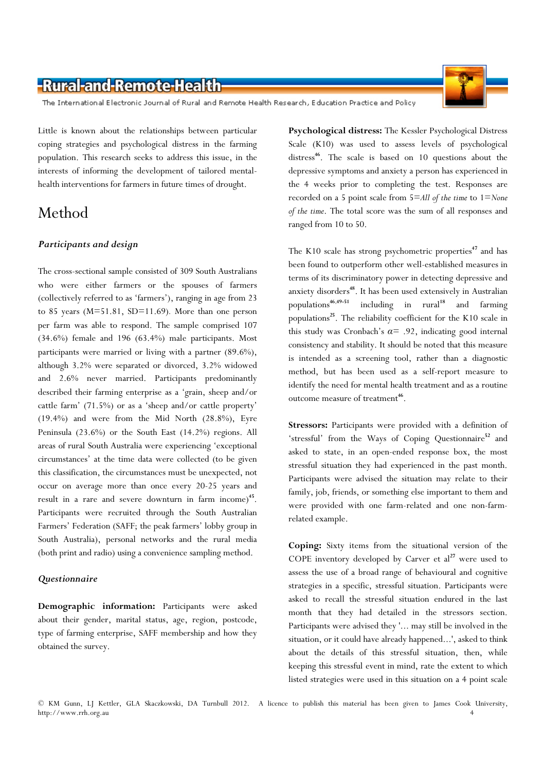The International Electronic Journal of Rural and Remote Health Research, Education Practice and Policy

Little is known about the relationships between particular coping strategies and psychological distress in the farming population. This research seeks to address this issue, in the interests of informing the development of tailored mentalhealth interventions for farmers in future times of drought.

# Method

## Participants and design

The cross-sectional sample consisted of 309 South Australians who were either farmers or the spouses of farmers (collectively referred to as 'farmers'), ranging in age from 23 to 85 years (M=51.81, SD=11.69). More than one person per farm was able to respond. The sample comprised 107 (34.6%) female and 196 (63.4%) male participants. Most participants were married or living with a partner (89.6%), although 3.2% were separated or divorced, 3.2% widowed and 2.6% never married. Participants predominantly described their farming enterprise as a 'grain, sheep and/or cattle farm' (71.5%) or as a 'sheep and/or cattle property'  $(19.4\%)$  and were from the Mid North  $(28.8\%)$ , Eyre Peninsula (23.6%) or the South East (14.2%) regions. All areas of rural South Australia were experiencing 'exceptional circumstances' at the time data were collected (to be given this classification, the circumstances must be unexpected, not occur on average more than once every 20-25 years and result in a rare and severe downturn in farm income) 45 . Participants were recruited through the South Australian Farmers' Federation (SAFF; the peak farmers' lobby group in South Australia), personal networks and the rural media (both print and radio) using a convenience sampling method.

## Questionnaire

Demographic information: Participants were asked about their gender, marital status, age, region, postcode, type of farming enterprise, SAFF membership and how they obtained the survey.

Psychological distress: The Kessler Psychological Distress Scale (K10) was used to assess levels of psychological distress<sup>46</sup>. The scale is based on 10 questions about the depressive symptoms and anxiety a person has experienced in the 4 weeks prior to completing the test. Responses are recorded on a 5 point scale from  $5=$ All of the time to  $1=$ None of the time. The total score was the sum of all responses and ranged from 10 to 50.

The K10 scale has strong psychometric properties<sup>47</sup> and has been found to outperform other well-established measures in terms of its discriminatory power in detecting depressive and anxiety disorders<sup>48</sup>. It has been used extensively in Australian populations<sup>46,49-51</sup> including in rural<sup>18</sup> and farming populations<sup>25</sup>. The reliability coefficient for the K10 scale in this study was Cronbach's  $\alpha$ = .92, indicating good internal consistency and stability. It should be noted that this measure is intended as a screening tool, rather than a diagnostic method, but has been used as a self-report measure to identify the need for mental health treatment and as a routine outcome measure of treatment<sup>46</sup>.

Stressors: Participants were provided with a definition of 'stressful' from the Ways of Coping Questionnaire<sup>52</sup> and asked to state, in an open-ended response box, the most stressful situation they had experienced in the past month. Participants were advised the situation may relate to their family, job, friends, or something else important to them and were provided with one farm-related and one non-farmrelated example.

Coping: Sixty items from the situational version of the COPE inventory developed by Carver et  $al^{27}$  were used to assess the use of a broad range of behavioural and cognitive strategies in a specific, stressful situation. Participants were asked to recall the stressful situation endured in the last month that they had detailed in the stressors section. Participants were advised they '... may still be involved in the situation, or it could have already happened...', asked to think about the details of this stressful situation, then, while keeping this stressful event in mind, rate the extent to which listed strategies were used in this situation on a 4 point scale

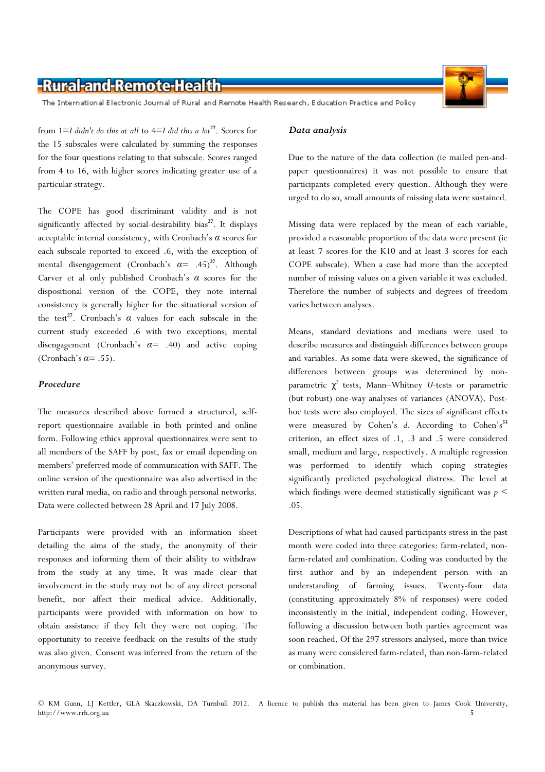The International Electronic Journal of Rural and Remote Health Research, Education Practice and Policy

from  $1=I$  didn't do this at all to  $4=I$  did this a lot<sup>27</sup>. Scores for the 15 subscales were calculated by summing the responses for the four questions relating to that subscale. Scores ranged from 4 to 16, with higher scores indicating greater use of a particular strategy.

The COPE has good discriminant validity and is not significantly affected by social-desirability bias<sup>27</sup>. It displays acceptable internal consistency, with Cronbach's  $\alpha$  scores for each subscale reported to exceed .6, with the exception of mental disengagement (Cronbach's  $\alpha = .45$ )<sup>27</sup>. Although Carver et al only published Cronbach's  $\alpha$  scores for the dispositional version of the COPE, they note internal consistency is generally higher for the situational version of the test<sup>27</sup>. Cronbach's  $\alpha$  values for each subscale in the current study exceeded .6 with two exceptions; mental disengagement (Cronbach's  $\alpha$ = .40) and active coping (Cronbach's  $\alpha = .55$ ).

### Procedure

The measures described above formed a structured, selfreport questionnaire available in both printed and online form. Following ethics approval questionnaires were sent to all members of the SAFF by post, fax or email depending on members' preferred mode of communication with SAFF. The online version of the questionnaire was also advertised in the written rural media, on radio and through personal networks. Data were collected between 28 April and 17 July 2008.

Participants were provided with an information sheet detailing the aims of the study, the anonymity of their responses and informing them of their ability to withdraw from the study at any time. It was made clear that involvement in the study may not be of any direct personal benefit, nor affect their medical advice. Additionally, participants were provided with information on how to obtain assistance if they felt they were not coping. The opportunity to receive feedback on the results of the study was also given. Consent was inferred from the return of the anonymous survey.

#### Data analysis

Due to the nature of the data collection (ie mailed pen-andpaper questionnaires) it was not possible to ensure that participants completed every question. Although they were urged to do so, small amounts of missing data were sustained.

Missing data were replaced by the mean of each variable, provided a reasonable proportion of the data were present (ie at least 7 scores for the K10 and at least 3 scores for each COPE subscale). When a case had more than the accepted number of missing values on a given variable it was excluded. Therefore the number of subjects and degrees of freedom varies between analyses.

Means, standard deviations and medians were used to describe measures and distinguish differences between groups and variables. As some data were skewed, the significance of differences between groups was determined by nonparametric  $\chi^2$  tests, Mann–Whitney U-tests or parametric (but robust) one-way analyses of variances (ANOVA). Posthoc tests were also employed. The sizes of significant effects were measured by Cohen's d. According to Cohen's<sup>53</sup> criterion, an effect sizes of .1, .3 and .5 were considered small, medium and large, respectively. A multiple regression was performed to identify which coping strategies significantly predicted psychological distress. The level at which findings were deemed statistically significant was  $p <$ .05.

Descriptions of what had caused participants stress in the past month were coded into three categories: farm-related, nonfarm-related and combination. Coding was conducted by the first author and by an independent person with an understanding of farming issues. Twenty-four data (constituting approximately 8% of responses) were coded inconsistently in the initial, independent coding. However, following a discussion between both parties agreement was soon reached. Of the 297 stressors analysed, more than twice as many were considered farm-related, than non-farm-related or combination.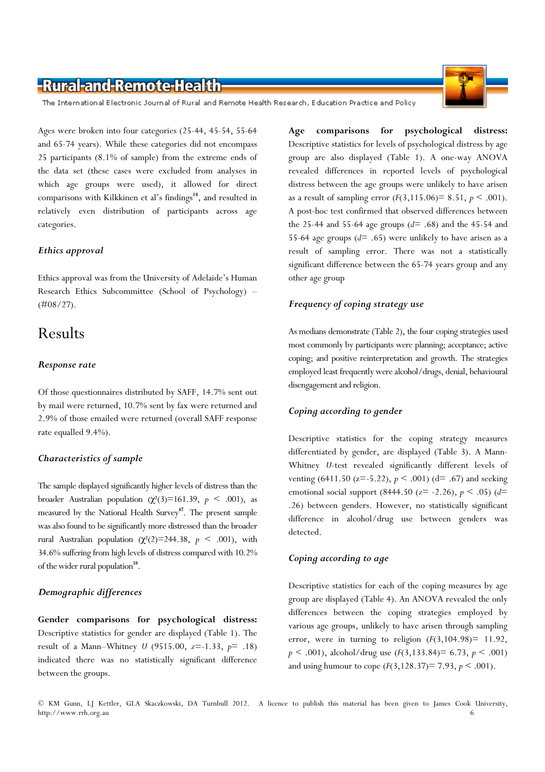The International Electronic Journal of Rural and Remote Health Research, Education Practice and Policy

Ages were broken into four categories (25-44, 45-54, 55-64 and 65-74 years). While these categories did not encompass 25 participants (8.1% of sample) from the extreme ends of the data set (these cases were excluded from analyses in which age groups were used), it allowed for direct comparisons with Kilkkinen et al's findings<sup>18</sup>, and resulted in relatively even distribution of participants across age categories.

#### Ethics approval

Ethics approval was from the University of Adelaide's Human Research Ethics Subcommittee (School of Psychology) –  $(\#08/27)$ .

## Results

### Response rate

Of those questionnaires distributed by SAFF, 14.7% sent out by mail were returned, 10.7% sent by fax were returned and 2.9% of those emailed were returned (overall SAFF response rate equalled 9.4%).

### Characteristics of sample

The sample displayed significantly higher levels of distress than the broader Australian population ( $\chi^2(3)=161.39$ ,  $p < .001$ ), as measured by the National Health Survey<sup> $47$ </sup>. The present sample was also found to be significantly more distressed than the broader rural Australian population (χ<sup>2</sup>(2)=244.38,  $p \leq .001$ ), with 34.6% suffering from high levels of distress compared with 10.2% of the wider rural population<sup>18</sup>.

### Demographic differences

Gender comparisons for psychological distress: Descriptive statistics for gender are displayed (Table 1). The result of a Mann–Whitney U (9515.00,  $z=$ -1.33,  $p=$  .18) indicated there was no statistically significant difference between the groups.

Age comparisons for psychological distress: Descriptive statistics for levels of psychological distress by age group are also displayed (Table 1). A one-way ANOVA revealed differences in reported levels of psychological distress between the age groups were unlikely to have arisen as a result of sampling error  $(F(3, 115.06) = 8.51, p \le .001)$ . A post-hoc test confirmed that observed differences between the 25-44 and 55-64 age groups  $(d= .68)$  and the 45-54 and 55-64 age groups ( $d= .65$ ) were unlikely to have arisen as a result of sampling error. There was not a statistically significant difference between the 65-74 years group and any other age group

## Frequency of coping strategy use

As medians demonstrate (Table 2), the four coping strategies used most commonly by participants were planning; acceptance; active coping; and positive reinterpretation and growth. The strategies employed least frequently were alcohol/drugs, denial, behavioural disengagement and religion.

#### Coping according to gender

Descriptive statistics for the coping strategy measures differentiated by gender, are displayed (Table 3). A Mann-Whitney U-test revealed significantly different levels of venting (6411.50 ( $z=-5.22$ ),  $p < .001$ ) ( $d=-.67$ ) and seeking emotional social support (8444.50 ( $z=$  -2.26),  $p < .05$ ) ( $d=$ .26) between genders. However, no statistically significant difference in alcohol/drug use between genders was detected.

## Coping according to age

Descriptive statistics for each of the coping measures by age group are displayed (Table 4). An ANOVA revealed the only differences between the coping strategies employed by various age groups, unlikely to have arisen through sampling error, were in turning to religion  $(F(3, 104.98)) = 11.92$ ,  $p \leq .001$ , alcohol/drug use  $(F(3, 133.84) = 6.73, p \leq .001)$ and using humour to cope  $(F(3, 128.37) = 7.93, p \le .001)$ .

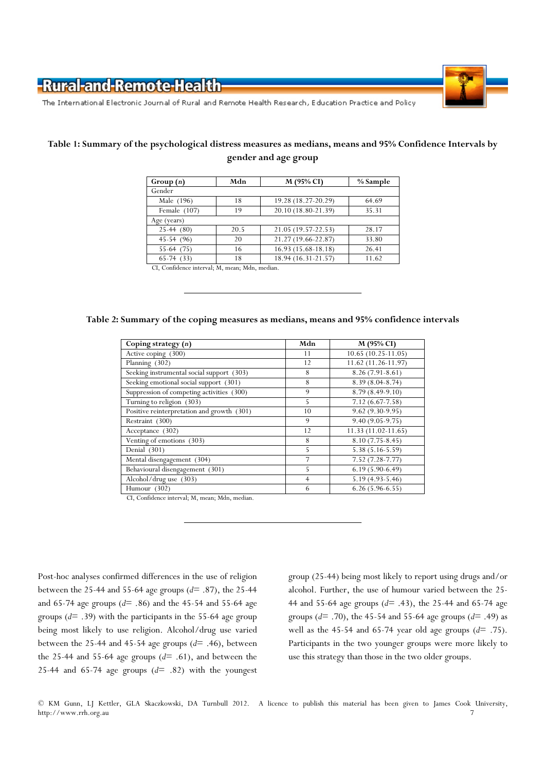

The International Electronic Journal of Rural and Remote Health Research, Education Practice and Policy

## Table 1: Summary of the psychological distress measures as medians, means and 95% Confidence Intervals by gender and age group

| Group(n)     | Mdn  | M (95% CI)          | % Sample |
|--------------|------|---------------------|----------|
| Gender       |      |                     |          |
| Male (196)   | 18   | 19.28 (18.27-20.29) | 64.69    |
| Female (107) | 19   | 20.10 (18.80-21.39) | 35.31    |
| Age (years)  |      |                     |          |
| $25-44(80)$  | 20.5 | 21.05 (19.57-22.53) | 28.17    |
| $45-54(96)$  | 20   | 21.27 (19.66-22.87) | 33.80    |
| $55-64(75)$  | 16   | 16.93 (15.68-18.18) | 26.41    |
| $65-74(33)$  | 18   | 18.94 (16.31-21.57) | 11.62    |

CI, Confidence interval; M, mean; Mdn, median.

#### Table 2: Summary of the coping measures as medians, means and 95% confidence intervals

| Coping strategy (n)                        | Mdn            | M (95% CI)           |
|--------------------------------------------|----------------|----------------------|
| Active coping (300)                        | 11             | $10.65(10.25-11.05)$ |
| Planning (302)                             | 12             | 11.62 (11.26-11.97)  |
| Seeking instrumental social support (303)  | 8              | $8.26(7.91-8.61)$    |
| Seeking emotional social support (301)     | 8              | $8.39(8.04-8.74)$    |
| Suppression of competing activities (300)  | 9              | 8.79 (8.49-9.10)     |
| Turning to religion (303)                  | 5              | $7.12(6.67 - 7.58)$  |
| Positive reinterpretation and growth (301) | 10             | $9.62(9.30-9.95)$    |
| Restraint (300)                            | 9              | $9.40(9.05-9.75)$    |
| Acceptance (302)                           | 12             | 11.33 (11.02-11.65)  |
| Venting of emotions (303)                  | 8              | $8.10(7.75-8.45)$    |
| Denial (301)                               | 5              | $5.38(5.16-5.59)$    |
| Mental disengagement (304)                 | 7              | $7.52(7.28-7.77)$    |
| Behavioural disengagement (301)            | 5              | $6.19(5.90-6.49)$    |
| Alcohol/drug use (303)                     | $\overline{4}$ | $5.19(4.93-5.46)$    |
| Humour (302)                               | 6              | $6.26(5.96-6.55)$    |

CI, Confidence interval; M, mean; Mdn, median.

Post-hoc analyses confirmed differences in the use of religion between the 25-44 and 55-64 age groups ( $d=$  .87), the 25-44 and 65-74 age groups ( $d=$  .86) and the 45-54 and 55-64 age groups  $(d= .39)$  with the participants in the 55-64 age group being most likely to use religion. Alcohol/drug use varied between the 25-44 and 45-54 age groups  $(d= .46)$ , between the 25-44 and 55-64 age groups  $(d= .61)$ , and between the 25-44 and 65-74 age groups  $(d= .82)$  with the youngest group (25-44) being most likely to report using drugs and/or alcohol. Further, the use of humour varied between the 25- 44 and 55-64 age groups ( $d=$  .43), the 25-44 and 65-74 age groups ( $d= .70$ ), the 45-54 and 55-64 age groups ( $d= .49$ ) as well as the 45-54 and 65-74 year old age groups  $(d= .75)$ . Participants in the two younger groups were more likely to use this strategy than those in the two older groups.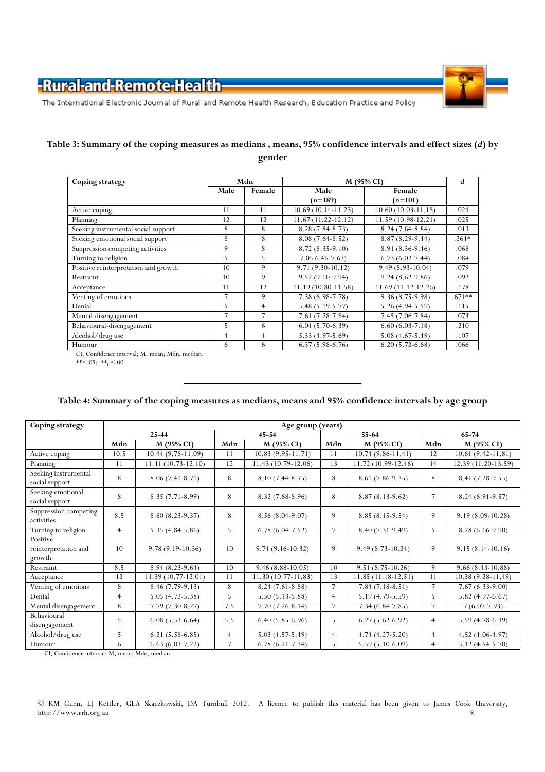

The International Electronic Journal of Rural and Remote Health Research, Education Practice and Policy

## Table 3: Summary of the coping measures as medians , means, 95% confidence intervals and effect sizes (d) by gender

| Coping strategy                      | Mdn            |                | M (95% CI)           | d                    |          |
|--------------------------------------|----------------|----------------|----------------------|----------------------|----------|
|                                      | Male           | Female         | Male                 | Female               |          |
|                                      |                |                | $(n=189)$            | $(n=101)$            |          |
| Active coping                        | 11             | 11             | $10.69(10.14-11.23)$ | $10.60(10.03-11.18)$ | .024     |
| Planning                             | 12             | 12             | $11.67(11.22-12.12)$ | 11.59 (10.98-12.21)  | .025     |
| Seeking instrumental social support  | 8              | 8              | $8.28(7.84-8.73)$    | $8.24(7.64-8.84)$    | .013     |
| Seeking emotional social support     | 8              | 8              | $8.08(7.64-8.52)$    | $8.87(8.29-9.44)$    | $.264*$  |
| Suppression competing activities     | 9              | 8              | 8.72 (8.35-9.10)     | 8.91 (8.36-9.46)     | .068     |
| Turning to religion                  | 5              | 5              | $7.056.46 - 7.63$    | $6.73(6.02 - 7.44)$  | .084     |
| Positive reinterpretation and growth | 10             | 9              | $9.71(9.30-10.12)$   | $9.49(8.93-10.04)$   | .079     |
| Restraint                            | 10             | 9              | $9.52(9.10-9.94)$    | $9.24(8.62-9.86)$    | .092     |
| Acceptance                           | 11             | 12             | 11.19 (10.80-11.58)  | $11.69(11.12-12.26)$ | .178     |
| Venting of emotions                  | 7              | 9              | 7.38 (6.98-7.78)     | $9.36(8.75-9.98)$    | $.671**$ |
| Denial                               | 5              | $\overline{4}$ | 5.48 (5.19-5.77)     | $5.26(4.94-5.59)$    | .115     |
| Mental-disengagement                 | 7              | 7              | $7.61(7.28-7.94)$    | $7.45(7.06-7.84)$    | .073     |
| Behavioural-disengagement            | 5              | 6              | $6.04(5.70-6.39)$    | $6.60(6.03-7.18)$    | .210     |
| Alcohol/drug use                     | $\overline{4}$ | $\overline{4}$ | 5.33 (4.97-5.69)     | $5.08(4.67-5.49)$    | .107     |
| Humour                               | 6              | 6              | $6.37(5.98-6.76)$    | $6.20(5.72-6.68)$    | .066     |

CI, Confidence interval; M, mean; Mdn, median.

 $*P<0.05;$   $*P<0.01$ 

## Table 4: Summary of the coping measures as medians, means and 95% confidence intervals by age group

| Coping strategy                            | Age group (years) |                     |                |                     |                |                       |                |                       |
|--------------------------------------------|-------------------|---------------------|----------------|---------------------|----------------|-----------------------|----------------|-----------------------|
|                                            | $25 - 44$         |                     | $45 - 54$      |                     | $55 - 64$      |                       | $65 - 74$      |                       |
|                                            | Mdn               | M (95% CI)          | Mdn            | M (95% CI)          | Mdn            | M (95% CI)            | Mdn            | M (95% CI)            |
| Active coping                              | 10.5              | 10.44 (9.78-11.09)  | 11             | $10.83(9.95-11.71)$ | 11             | $10.74(9.86 - 11.41)$ | 12             | $10.61(9.42 - 11.81)$ |
| Planning                                   | 11                | 11.41 (10.73-12.10) | 12             | 11.43 (10.79-12.06) | 13             | 11.72 (10.99-12.46)   | 14             | 12.39 (11.20-13.59)   |
| Seeking instrumental<br>social support     | 8                 | $8.06(7.41-8.71)$   | 8              | $8.10(7.44-8.75)$   | 8              | 8.61 (7.86-9.35)      | 8              | $8.41(7.28-9.55)$     |
| Seeking emotional<br>social support        | 8                 | $8.35(7.71-8.99)$   | 8              | $8.32(7.68-8.96)$   | 8              | $8.87(8.13-9.62)$     | 7              | $8.24(6.91-9.57)$     |
| Suppression competing<br>activities        | 8.5               | 8.80 (8.23-9.37)    | 8              | $8.56(8.04-9.07)$   | 9              | $8.85(8.15-9.54)$     | 9              | $9.19(8.09-10.28)$    |
| Turning to religion                        | $\overline{4}$    | $5.35(4.84-5.86)$   | 5              | $6.78(6.04-7.52)$   | $\overline{7}$ | $8.40(7.31-9.49)$     | 5              | 8.28 (6.66-9.90)      |
| Positive<br>reinterpretation and<br>growth | 10                | $9.78(9.19-10.36)$  | 10             | $9.74(9.16-10.32)$  | 9              | $9.49(8.73-10.24)$    | 9              | $9.15(8.14-10.16)$    |
| Restraint                                  | 8.5               | $8.94(8.23-9.64)$   | 10             | $9.46(8.88-10.05)$  | 10             | $9.51(8.75-10.26)$    | 9              | $9.66(8.43-10.88)$    |
| Acceptance                                 | 12                | 11.39 (10.77-12.01) | 11             | 11.30 (10.77-11.83) | 13             | $11.85(11.18-12.51)$  | 11             | 10.38 (9.28-11.49)    |
| Venting of emotions                        | 8                 | 8.46 (7.79-9.13)    | 8              | $8.24(7.61-8.88)$   | 7              | $7.84(7.18-8.51)$     | 7              | $7.67(6.33-9.00)$     |
| Denial                                     | $\overline{4}$    | $5.05(4.72-5.38)$   | 5              | $5.50(5.13-5.88)$   | $\overline{4}$ | $5.19(4.79-5.59)$     | 5              | 5.82 (4.97-6.67)      |
| Mental disengagement                       | 8                 | $7.79(7.30-8.27)$   | 7.5            | $7.70(7.26-8.14)$   | 7              | $7.34(6.84-7.85)$     | 7              | $7(6.07-7.93)$        |
| Behavioural<br>disengagement               | 5                 | $6.08(5.53-6.64)$   | 5.5            | $6.40(5.85-6.96)$   | 5              | $6.27(5.62-6.92)$     | $\overline{4}$ | $5.59(4.78-6.39)$     |
| Alcohol/drug use                           | 5                 | $6.21(5.58-6.85)$   | $\overline{4}$ | $5.03(4.57-5.49)$   | $\overline{4}$ | $4.74(4.27-5.20)$     | $\overline{4}$ | 4.52 (4.06-4.97)      |
| Humour                                     | 6                 | $6.63(6.03-7.22)$   | 7              | $6.78(6.21-7.34)$   | 5              | $5.59(5.10-6.09)$     | $\overline{4}$ | $5.12(4.54-5.70)$     |

CI, Confidence interval; M, mean; Mdn, median.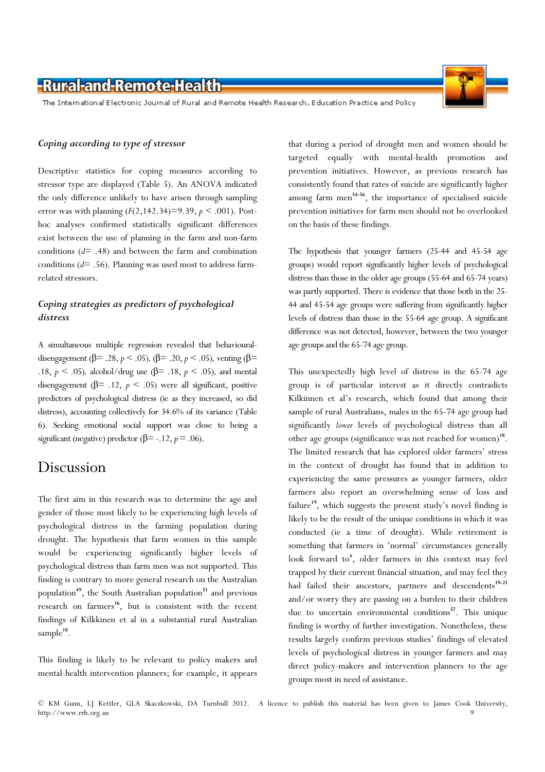The International Electronic Journal of Rural and Remote Health Research, Education Practice and Policy

## Coping according to type of stressor

Descriptive statistics for coping measures according to stressor type are displayed (Table 5). An ANOVA indicated the only difference unlikely to have arisen through sampling error was with planning  $(F(2, 142.34)=9.39, p \le .001)$ . Posthoc analyses confirmed statistically significant differences exist between the use of planning in the farm and non-farm conditions  $(d= .48)$  and between the farm and combination conditions ( $d=$  .56). Planning was used most to address farmrelated stressors.

## Coping strategies as predictors of psychological distress

A simultaneous multiple regression revealed that behaviouraldisengagement ( $\beta$ = .28,  $p$  < .05), ( $\beta$ = .20,  $p$  < .05), venting ( $\beta$ = .18,  $p \leq .05$ ), alcohol/drug use ( $\beta$ = .18,  $p \leq .05$ ), and mental disengagement ( $\beta$ = .12,  $p$  < .05) were all significant, positive predictors of psychological distress (ie as they increased, so did distress), accounting collectively for 34.6% of its variance (Table 6). Seeking emotional social support was close to being a significant (negative) predictor ( $\beta$ = -.12,  $p$  = .06).

## Discussion

The first aim in this research was to determine the age and gender of those most likely to be experiencing high levels of psychological distress in the farming population during drought. The hypothesis that farm women in this sample would be experiencing significantly higher levels of psychological distress than farm men was not supported. This finding is contrary to more general research on the Australian population<sup>49</sup>, the South Australian population<sup>51</sup> and previous research on farmers<sup>16</sup>, but is consistent with the recent findings of Kilkkinen et al in a substantial rural Australian sample<sup>18</sup>.

This finding is likely to be relevant to policy makers and mental-health intervention planners; for example, it appears

that during a period of drought men and women should be targeted equally with mental-health promotion and prevention initiatives. However, as previous research has consistently found that rates of suicide are significantly higher among farm men<sup>54-56</sup>, the importance of specialised suicide prevention initiatives for farm men should not be overlooked on the basis of these findings.

The hypothesis that younger farmers (25-44 and 45-54 age groups) would report significantly higher levels of psychological distress than those in the older age groups (55-64 and 65-74 years) was partly supported. There is evidence that those both in the 25- 44 and 45-54 age groups were suffering from significantly higher levels of distress than those in the 55-64 age group. A significant difference was not detected, however, between the two younger age groups and the 65-74 age group.

This unexpectedly high level of distress in the 65-74 age group is of particular interest as it directly contradicts Kilkinnen et al's research, which found that among their sample of rural Australians, males in the 65-74 age group had significantly lower levels of psychological distress than all other age groups (significance was not reached for women)<sup>18</sup>. The limited research that has explored older farmers' stress in the context of drought has found that in addition to experiencing the same pressures as younger farmers, older farmers also report an overwhelming sense of loss and failure<sup>19</sup>, which suggests the present study's novel finding is likely to be the result of the unique conditions in which it was conducted (ie a time of drought). While retirement is something that farmers in 'normal' circumstances generally look forward to<sup>4</sup>, older farmers in this context may feel trapped by their current financial situation, and may feel they had failed their ancestors, partners and descendents<sup>19-21</sup> and/or worry they are passing on a burden to their children due to uncertain environmental conditions<sup>57</sup>. This unique finding is worthy of further investigation. Nonetheless, these results largely confirm previous studies' findings of elevated levels of psychological distress in younger farmers and may direct policy-makers and intervention planners to the age groups most in need of assistance.

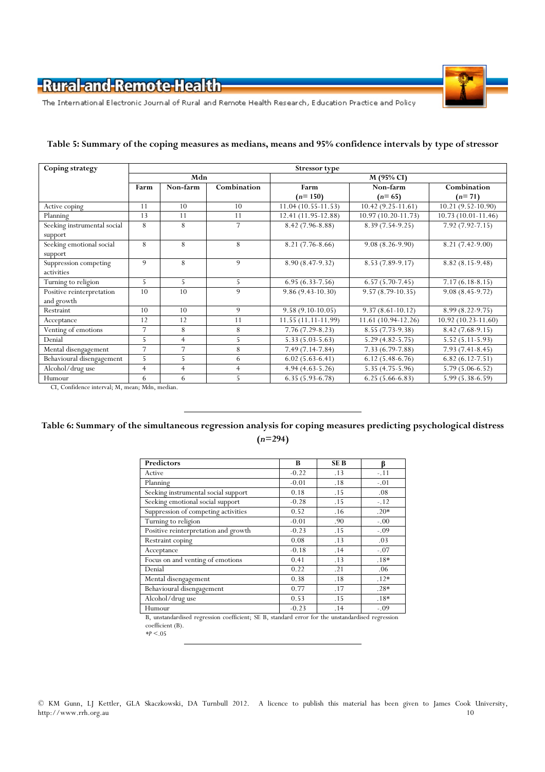

The International Electronic Journal of Rural and Remote Health Research, Education Practice and Policy

| Coping strategy                                                  | <b>Stressor</b> type                                             |                         |                |                      |                       |                      |  |
|------------------------------------------------------------------|------------------------------------------------------------------|-------------------------|----------------|----------------------|-----------------------|----------------------|--|
|                                                                  | Mdn                                                              |                         |                | M (95% CI)           |                       |                      |  |
|                                                                  | Farm                                                             | Non-farm<br>Combination |                | Farm                 | Non-farm              | Combination          |  |
|                                                                  |                                                                  |                         |                | $(n=150)$            | $(n=65)$              | $(n=71)$             |  |
| Active coping                                                    | 11                                                               | 10                      | 10             | $11.04(10.55-11.53)$ | $10.42(9.25 - 11.61)$ | 10.21 (9.52-10.90)   |  |
| Planning                                                         | 13                                                               | 11                      | 11             | 12.41 (11.95-12.88)  | $10.97(10.20-11.73)$  | $10.73(10.01-11.46)$ |  |
| Seeking instrumental social<br>support                           | 8                                                                | 8                       | 7              | 8.42 (7.96-8.88)     | $8.39(7.54-9.25)$     | $7.92(7.92 - 7.15)$  |  |
| Seeking emotional social<br>support                              | 8                                                                | 8                       | 8              | 8.21 (7.76-8.66)     | $9.08(8.26-9.90)$     | $8.21(7.42-9.00)$    |  |
| Suppression competing<br>activities                              | 9                                                                | 8                       | 9              | 8.90 (8.47-9.32)     | 8.53 (7.89-9.17)      | $8.82(8.15-9.48)$    |  |
| Turning to religion                                              | 5                                                                | 5                       | 5              | $6.95(6.33-7.56)$    | $6.57(5.70-7.45)$     | $7.17(6.18-8.15)$    |  |
| Positive reinterpretation                                        | 10                                                               | 10                      | 9              | $9.86(9.43-10.30)$   | $9.57(8.79-10.35)$    | $9.08(8.45-9.72)$    |  |
| and growth                                                       |                                                                  |                         |                |                      |                       |                      |  |
| Restraint                                                        | 10                                                               | 10                      | 9              | $9.58(9.10-10.05)$   | $9.37(8.61-10.12)$    | $8.99(8.22-9.75)$    |  |
| Acceptance                                                       | 12                                                               | 12                      | 11             | 11.55 (11.11-11.99)  | $11.61(10.94-12.26)$  | $10.92(10.23-11.60)$ |  |
| Venting of emotions                                              | 7                                                                | 8                       | 8              | $7.76(7.29-8.23)$    | $8.55(7.73-9.38)$     | $8.42(7.68-9.15)$    |  |
| Denial                                                           | 5                                                                | $\overline{4}$          | 5              | $5.33(5.03-5.63)$    | $5.29(4.82 - 5.75)$   | $5.52(5.11-5.93)$    |  |
| Mental disengagement                                             | $\overline{7}$                                                   | 7                       | 8              | $7.49(7.14 - 7.84)$  | 7.33 (6.79-7.88)      | $7.93(7.41-8.45)$    |  |
| Behavioural disengagement                                        | 5                                                                | 5                       | 6              | $6.02(5.63-6.41)$    | $6.12(5.48-6.76)$     | $6.82(6.12-7.51)$    |  |
| Alcohol/drug use                                                 | $\overline{4}$                                                   | $\overline{4}$          | $\overline{4}$ | $4.94(4.63-5.26)$    | $5.35(4.75-5.96)$     | $5.79(5.06-6.52)$    |  |
| Humour<br>$C\mathbf{I}$ $C$ $C\mathbf{I}$ $\cdots$ $C\mathbf{I}$ | 6<br>$\overline{M}$ $\overline{1}$ $\overline{1}$ $\overline{1}$ | 6                       | 5              | $6.35(5.93-6.78)$    | $6.25(5.66-6.83)$     | $5.99(5.38-6.59)$    |  |

## Table 5: Summary of the coping measures as medians, means and 95% confidence intervals by type of stressor

CI, Confidence interval; M, mean; Mdn, median.

## Table 6: Summary of the simultaneous regression analysis for coping measures predicting psychological distress  $(n=294)$

| Predictors                           | B       | <b>SEB</b> |        |
|--------------------------------------|---------|------------|--------|
| Active                               | $-0.22$ | .13        | $-.11$ |
| Planning                             | $-0.01$ | .18        | $-.01$ |
| Seeking instrumental social support  | 0.18    | .15        | .08    |
| Seeking emotional social support     | $-0.28$ | .15        | $-.12$ |
| Suppression of competing activities  | 0.52    | .16        | $.20*$ |
| Turning to religion                  | $-0.01$ | .90        | $-.00$ |
| Positive reinterpretation and growth | $-0.23$ | .15        | $-.09$ |
| Restraint coping                     | 0.08    | .13        | .03    |
| Acceptance                           | $-0.18$ | .14        | $-.07$ |
| Focus on and venting of emotions     | 0.41    | .13        | $.18*$ |
| Denial                               | 0.22    | .21        | .06    |
| Mental disengagement                 | 0.38    | .18        | $.12*$ |
| Behavioural disengagement            | 0.77    | .17        | $.28*$ |
| Alcohol/drug use                     | 0.53    | .15        | $.18*$ |
| Humour                               | $-0.23$ | .14        | $-.09$ |

B, unstandardised regression coefficient; SE B, standard error for the unstandardised regression coefficient (B).

 $*P < .05$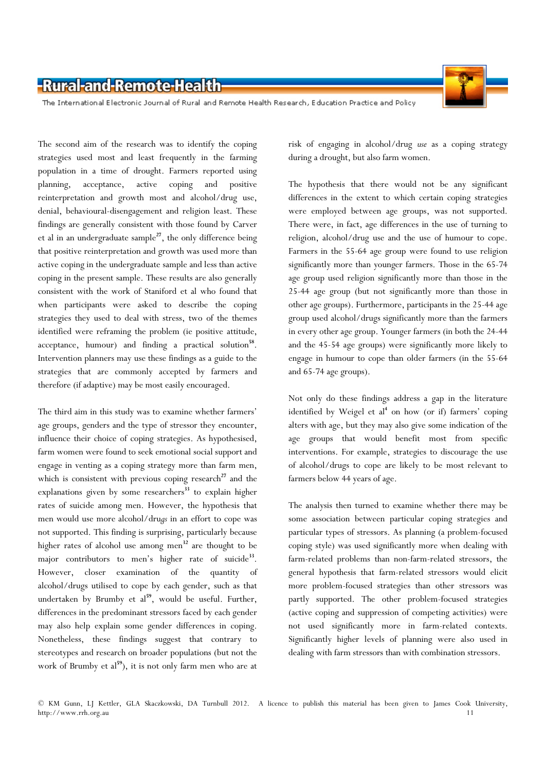

The International Electronic Journal of Rural and Remote Health Research, Education Practice and Policy

The second aim of the research was to identify the coping strategies used most and least frequently in the farming population in a time of drought. Farmers reported using planning, acceptance, active coping and positive reinterpretation and growth most and alcohol/drug use, denial, behavioural-disengagement and religion least. These findings are generally consistent with those found by Carver et al in an undergraduate sample<sup>27</sup>, the only difference being that positive reinterpretation and growth was used more than active coping in the undergraduate sample and less than active coping in the present sample. These results are also generally consistent with the work of Staniford et al who found that when participants were asked to describe the coping strategies they used to deal with stress, two of the themes identified were reframing the problem (ie positive attitude, acceptance, humour) and finding a practical solution<sup>58</sup>. Intervention planners may use these findings as a guide to the strategies that are commonly accepted by farmers and therefore (if adaptive) may be most easily encouraged.

The third aim in this study was to examine whether farmers' age groups, genders and the type of stressor they encounter, influence their choice of coping strategies. As hypothesised, farm women were found to seek emotional social support and engage in venting as a coping strategy more than farm men, which is consistent with previous coping research<sup>27</sup> and the explanations given by some researchers<sup>33</sup> to explain higher rates of suicide among men. However, the hypothesis that men would use more alcohol/drugs in an effort to cope was not supported. This finding is surprising, particularly because higher rates of alcohol use among men $32$  are thought to be major contributors to men's higher rate of suicide<sup>33</sup>. However, closer examination of the quantity of alcohol/drugs utilised to cope by each gender, such as that undertaken by Brumby et  $al^{59}$ , would be useful. Further, differences in the predominant stressors faced by each gender may also help explain some gender differences in coping. Nonetheless, these findings suggest that contrary to stereotypes and research on broader populations (but not the work of Brumby et  $al^{59}$ , it is not only farm men who are at

risk of engaging in alcohol/drug use as a coping strategy during a drought, but also farm women.

The hypothesis that there would not be any significant differences in the extent to which certain coping strategies were employed between age groups, was not supported. There were, in fact, age differences in the use of turning to religion, alcohol/drug use and the use of humour to cope. Farmers in the 55-64 age group were found to use religion significantly more than younger farmers. Those in the 65-74 age group used religion significantly more than those in the 25-44 age group (but not significantly more than those in other age groups). Furthermore, participants in the 25-44 age group used alcohol/drugs significantly more than the farmers in every other age group. Younger farmers (in both the 24-44 and the 45-54 age groups) were significantly more likely to engage in humour to cope than older farmers (in the 55-64 and 65-74 age groups).

Not only do these findings address a gap in the literature identified by Weigel et al<sup>4</sup> on how (or if) farmers' coping alters with age, but they may also give some indication of the age groups that would benefit most from specific interventions. For example, strategies to discourage the use of alcohol/drugs to cope are likely to be most relevant to farmers below 44 years of age.

The analysis then turned to examine whether there may be some association between particular coping strategies and particular types of stressors. As planning (a problem-focused coping style) was used significantly more when dealing with farm-related problems than non-farm-related stressors, the general hypothesis that farm-related stressors would elicit more problem-focused strategies than other stressors was partly supported. The other problem-focused strategies (active coping and suppression of competing activities) were not used significantly more in farm-related contexts. Significantly higher levels of planning were also used in dealing with farm stressors than with combination stressors.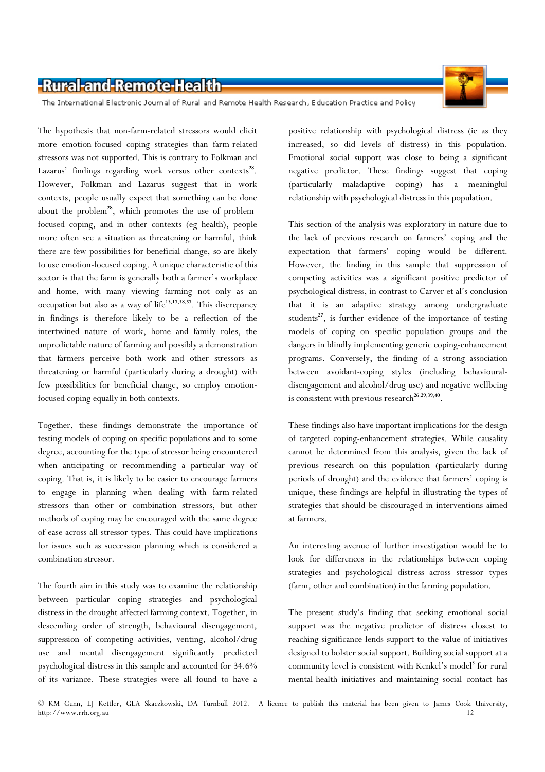

The International Electronic Journal of Rural and Remote Health Research, Education Practice and Policy

The hypothesis that non-farm-related stressors would elicit more emotion-focused coping strategies than farm-related stressors was not supported. This is contrary to Folkman and Lazarus' findings regarding work versus other contexts<sup>28</sup>. However, Folkman and Lazarus suggest that in work contexts, people usually expect that something can be done about the problem<sup>28</sup>, which promotes the use of problemfocused coping, and in other contexts (eg health), people more often see a situation as threatening or harmful, think there are few possibilities for beneficial change, so are likely to use emotion-focused coping. A unique characteristic of this sector is that the farm is generally both a farmer's workplace and home, with many viewing farming not only as an occupation but also as a way of life<sup>13,17,38,57</sup>. This discrepancy in findings is therefore likely to be a reflection of the intertwined nature of work, home and family roles, the unpredictable nature of farming and possibly a demonstration that farmers perceive both work and other stressors as threatening or harmful (particularly during a drought) with few possibilities for beneficial change, so employ emotionfocused coping equally in both contexts.

Together, these findings demonstrate the importance of testing models of coping on specific populations and to some degree, accounting for the type of stressor being encountered when anticipating or recommending a particular way of coping. That is, it is likely to be easier to encourage farmers to engage in planning when dealing with farm-related stressors than other or combination stressors, but other methods of coping may be encouraged with the same degree of ease across all stressor types. This could have implications for issues such as succession planning which is considered a combination stressor.

The fourth aim in this study was to examine the relationship between particular coping strategies and psychological distress in the drought-affected farming context. Together, in descending order of strength, behavioural disengagement, suppression of competing activities, venting, alcohol/drug use and mental disengagement significantly predicted psychological distress in this sample and accounted for 34.6% of its variance. These strategies were all found to have a

positive relationship with psychological distress (ie as they increased, so did levels of distress) in this population. Emotional social support was close to being a significant negative predictor. These findings suggest that coping (particularly maladaptive coping) has a meaningful relationship with psychological distress in this population.

This section of the analysis was exploratory in nature due to the lack of previous research on farmers' coping and the expectation that farmers' coping would be different. However, the finding in this sample that suppression of competing activities was a significant positive predictor of psychological distress, in contrast to Carver et al's conclusion that it is an adaptive strategy among undergraduate students<sup>27</sup>, is further evidence of the importance of testing models of coping on specific population groups and the dangers in blindly implementing generic coping-enhancement programs. Conversely, the finding of a strong association between avoidant-coping styles (including behaviouraldisengagement and alcohol/drug use) and negative wellbeing is consistent with previous research<sup>26,29,39,40</sup>.

These findings also have important implications for the design of targeted coping-enhancement strategies. While causality cannot be determined from this analysis, given the lack of previous research on this population (particularly during periods of drought) and the evidence that farmers' coping is unique, these findings are helpful in illustrating the types of strategies that should be discouraged in interventions aimed at farmers.

An interesting avenue of further investigation would be to look for differences in the relationships between coping strategies and psychological distress across stressor types (farm, other and combination) in the farming population.

The present study's finding that seeking emotional social support was the negative predictor of distress closest to reaching significance lends support to the value of initiatives designed to bolster social support. Building social support at a community level is consistent with Kenkel's model<sup>3</sup> for rural mental-health initiatives and maintaining social contact has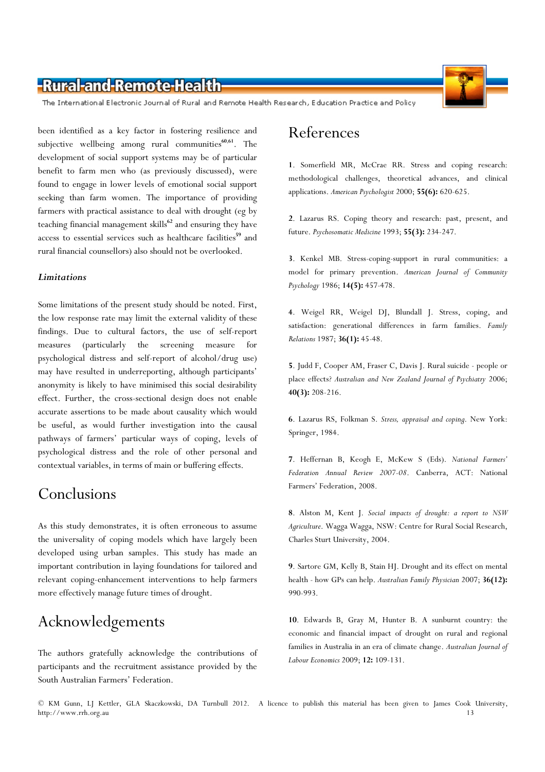

The International Electronic Journal of Rural and Remote Health Research, Education Practice and Policy

been identified as a key factor in fostering resilience and subjective wellbeing among rural communities<sup>60,61</sup>. The development of social support systems may be of particular benefit to farm men who (as previously discussed), were found to engage in lower levels of emotional social support seeking than farm women. The importance of providing farmers with practical assistance to deal with drought (eg by teaching financial management skills<sup>62</sup> and ensuring they have access to essential services such as healthcare facilities<sup>59</sup> and rural financial counsellors) also should not be overlooked.

## Limitations

Some limitations of the present study should be noted. First, the low response rate may limit the external validity of these findings. Due to cultural factors, the use of self-report measures (particularly the screening measure for psychological distress and self-report of alcohol/drug use) may have resulted in underreporting, although participants' anonymity is likely to have minimised this social desirability effect. Further, the cross-sectional design does not enable accurate assertions to be made about causality which would be useful, as would further investigation into the causal pathways of farmers' particular ways of coping, levels of psychological distress and the role of other personal and contextual variables, in terms of main or buffering effects.

# Conclusions

As this study demonstrates, it is often erroneous to assume the universality of coping models which have largely been developed using urban samples. This study has made an important contribution in laying foundations for tailored and relevant coping-enhancement interventions to help farmers more effectively manage future times of drought.

# Acknowledgements

The authors gratefully acknowledge the contributions of participants and the recruitment assistance provided by the South Australian Farmers' Federation.

# References

1. Somerfield MR, McCrae RR. Stress and coping research: methodological challenges, theoretical advances, and clinical applications. American Psychologist 2000; 55(6): 620-625.

2. Lazarus RS. Coping theory and research: past, present, and future. Psychosomatic Medicine 1993; 55(3): 234-247.

3. Kenkel MB. Stress-coping-support in rural communities: a model for primary prevention. American Journal of Community Psychology 1986; 14(5): 457-478.

4. Weigel RR, Weigel DJ, Blundall J. Stress, coping, and satisfaction: generational differences in farm families. Family Relations 1987; 36(1): 45-48.

5. Judd F, Cooper AM, Fraser C, Davis J. Rural suicide - people or place effects? Australian and New Zealand Journal of Psychiatry 2006; 40(3): 208-216.

6. Lazarus RS, Folkman S. Stress, appraisal and coping. New York: Springer, 1984.

7. Heffernan B, Keogh E, McKew S (Eds). National Farmers' Federation Annual Review 2007-08. Canberra, ACT: National Farmers' Federation, 2008.

8. Alston M, Kent J. Social impacts of drought: a report to NSW Agriculture. Wagga Wagga, NSW: Centre for Rural Social Research, Charles Sturt University, 2004.

9. Sartore GM, Kelly B, Stain HJ. Drought and its effect on mental health - how GPs can help. Australian Family Physician 2007; 36(12): 990-993.

10. Edwards B, Gray M, Hunter B. A sunburnt country: the economic and financial impact of drought on rural and regional families in Australia in an era of climate change. Australian Journal of Labour Economics 2009; 12: 109-131.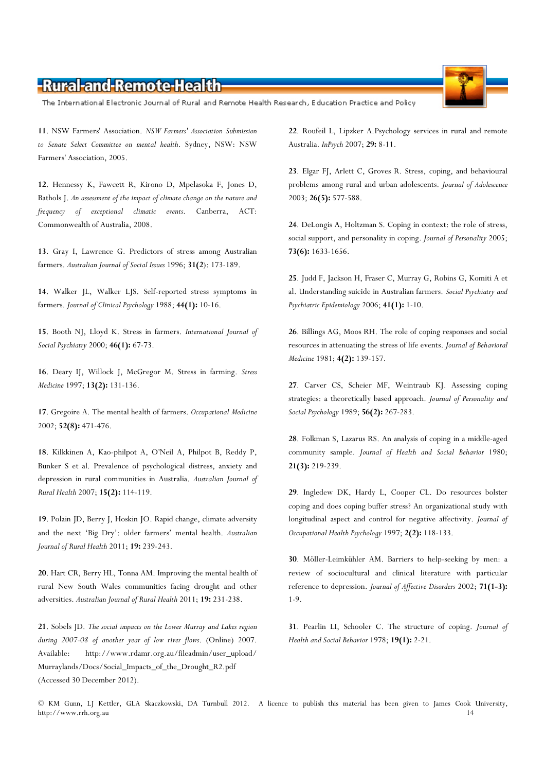The International Electronic Journal of Rural and Remote Health Research, Education Practice and Policy

11. NSW Farmers' Association. NSW Farmers' Association Submission to Senate Select Committee on mental health. Sydney, NSW: NSW Farmers' Association, 2005.

12. Hennessy K, Fawcett R, Kirono D, Mpelasoka F, Jones D, Bathols J. An assessment of the impact of climate change on the nature and frequency of exceptional climatic events. Canberra, ACT: Commonwealth of Australia, 2008.

13. Gray I, Lawrence G. Predictors of stress among Australian farmers. Australian Journal of Social Issues 1996; 31(2): 173-189.

14. Walker JL, Walker LJS. Self-reported stress symptoms in farmers. Journal of Clinical Psychology 1988; 44(1): 10-16.

15. Booth NJ, Lloyd K. Stress in farmers. International Journal of Social Psychiatry 2000; 46(1): 67-73.

16. Deary IJ, Willock J, McGregor M. Stress in farming. Stress Medicine 1997; 13(2): 131-136.

17. Gregoire A. The mental health of farmers. Occupational Medicine 2002; 52(8): 471-476.

18. Kilkkinen A, Kao-philpot A, O'Neil A, Philpot B, Reddy P, Bunker S et al. Prevalence of psychological distress, anxiety and depression in rural communities in Australia. Australian Journal of Rural Health 2007; 15(2): 114-119.

19. Polain JD, Berry J, Hoskin JO. Rapid change, climate adversity and the next 'Big Dry': older farmers' mental health. Australian Journal of Rural Health 2011; 19: 239-243.

20. Hart CR, Berry HL, Tonna AM. Improving the mental health of rural New South Wales communities facing drought and other adversities. Australian Journal of Rural Health 2011; 19: 231-238.

21. Sobels JD. The social impacts on the Lower Murray and Lakes region during 2007-08 of another year of low river flows. (Online) 2007. Available: http://www.rdamr.org.au/fileadmin/user\_upload/ Murraylands/Docs/Social\_Impacts\_of\_the\_Drought\_R2.pdf (Accessed 30 December 2012).

22. Roufeil L, Lipzker A.Psychology services in rural and remote Australia. InPsych 2007; 29: 8-11.

23. Elgar FJ, Arlett C, Groves R. Stress, coping, and behavioural problems among rural and urban adolescents. Journal of Adolescence 2003; 26(5): 577-588.

24. DeLongis A, Holtzman S. Coping in context: the role of stress, social support, and personality in coping. Journal of Personality 2005; 73(6): 1633-1656.

25. Judd F, Jackson H, Fraser C, Murray G, Robins G, Komiti A et al. Understanding suicide in Australian farmers. Social Psychiatry and Psychiatric Epidemiology 2006; 41(1): 1-10.

26. Billings AG, Moos RH. The role of coping responses and social resources in attenuating the stress of life events. Journal of Behavioral Medicine 1981; 4(2): 139-157.

27. Carver CS, Scheier MF, Weintraub KJ. Assessing coping strategies: a theoretically based approach. Journal of Personality and Social Psychology 1989; 56(2): 267-283.

28. Folkman S, Lazarus RS. An analysis of coping in a middle-aged community sample. Journal of Health and Social Behavior 1980; 21(3): 219-239.

29. Ingledew DK, Hardy L, Cooper CL. Do resources bolster coping and does coping buffer stress? An organizational study with longitudinal aspect and control for negative affectivity. Journal of Occupational Health Psychology 1997; 2(2): 118-133.

30. Möller-Leimkühler AM. Barriers to help-seeking by men: a review of sociocultural and clinical literature with particular reference to depression. Journal of Affective Disorders 2002; 71(1-3): 1-9.

31. Pearlin LI, Schooler C. The structure of coping. Journal of Health and Social Behavior 1978; 19(1): 2-21.

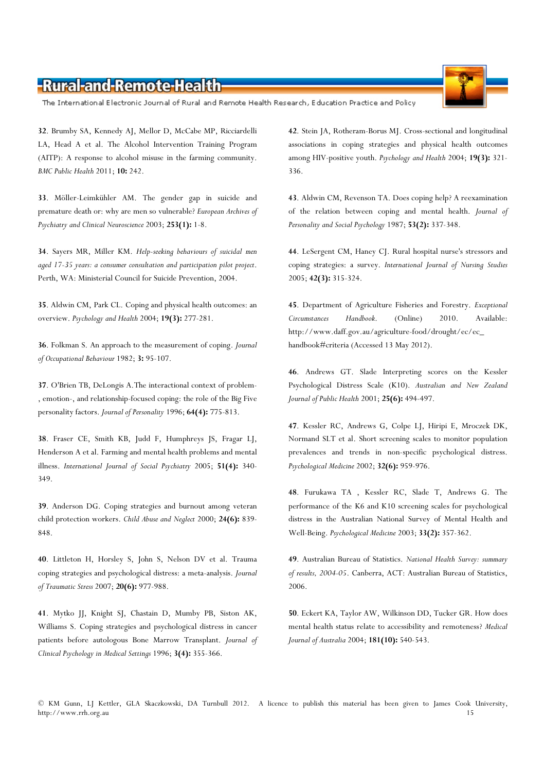The International Electronic Journal of Rural and Remote Health Research, Education Practice and Policy

32. Brumby SA, Kennedy AJ, Mellor D, McCabe MP, Ricciardelli LA, Head A et al. The Alcohol Intervention Training Program (AITP): A response to alcohol misuse in the farming community. BMC Public Health 2011; 10: 242.

33. Möller-Leimkühler AM. The gender gap in suicide and premature death or: why are men so vulnerable? European Archives of Psychiatry and Clinical Neuroscience 2003; 253(1): 1-8.

34. Sayers MR, Miller KM. Help-seeking behaviours of suicidal men aged 17-35 years: a consumer consultation and participation pilot project. Perth, WA: Ministerial Council for Suicide Prevention, 2004.

35. Aldwin CM, Park CL. Coping and physical health outcomes: an overview. Psychology and Health 2004; 19(3): 277-281.

36. Folkman S. An approach to the measurement of coping. Journal of Occupational Behaviour 1982; 3: 95-107.

37. O'Brien TB, DeLongis A.The interactional context of problem- , emotion-, and relationship-focused coping: the role of the Big Five personality factors. Journal of Personality 1996; 64(4): 775-813.

38. Fraser CE, Smith KB, Judd F, Humphreys JS, Fragar LJ, Henderson A et al. Farming and mental health problems and mental illness. International Journal of Social Psychiatry 2005; 51(4): 340- 349.

39. Anderson DG. Coping strategies and burnout among veteran child protection workers. Child Abuse and Neglect 2000; 24(6): 839- 848.

40. Littleton H, Horsley S, John S, Nelson DV et al. Trauma coping strategies and psychological distress: a meta-analysis. Journal of Traumatic Stress 2007; 20(6): 977-988.

41. Mytko JJ, Knight SJ, Chastain D, Mumby PB, Siston AK, Williams S. Coping strategies and psychological distress in cancer patients before autologous Bone Marrow Transplant. Journal of Clinical Psychology in Medical Settings 1996; 3(4): 355-366.

42. Stein JA, Rotheram-Borus MJ. Cross-sectional and longitudinal associations in coping strategies and physical health outcomes among HIV-positive youth. Psychology and Health 2004; 19(3): 321-336.

43. Aldwin CM, Revenson TA. Does coping help? A reexamination of the relation between coping and mental health. Journal of Personality and Social Psychology 1987; 53(2): 337-348.

44. LeSergent CM, Haney CJ. Rural hospital nurse's stressors and coping strategies: a survey. International Journal of Nursing Studies 2005; 42(3): 315-324.

45. Department of Agriculture Fisheries and Forestry. Exceptional Circumstances Handbook. (Online) 2010. Available: http://www.daff.gov.au/agriculture-food/drought/ec/ec\_ handbook#criteria (Accessed 13 May 2012).

46. Andrews GT. Slade Interpreting scores on the Kessler Psychological Distress Scale (K10). Australian and New Zealand Journal of Public Health 2001; 25(6): 494-497.

47. Kessler RC, Andrews G, Colpe LJ, Hiripi E, Mroczek DK, Normand SLT et al. Short screening scales to monitor population prevalences and trends in non-specific psychological distress. Psychological Medicine 2002; 32(6): 959-976.

48. Furukawa TA , Kessler RC, Slade T, Andrews G. The performance of the K6 and K10 screening scales for psychological distress in the Australian National Survey of Mental Health and Well-Being. Psychological Medicine 2003; 33(2): 357-362.

49. Australian Bureau of Statistics. National Health Survey: summary of results, 2004-05. Canberra, ACT: Australian Bureau of Statistics, 2006.

50. Eckert KA, Taylor AW, Wilkinson DD, Tucker GR. How does mental health status relate to accessibility and remoteness? Medical Journal of Australia 2004; 181(10): 540-543.